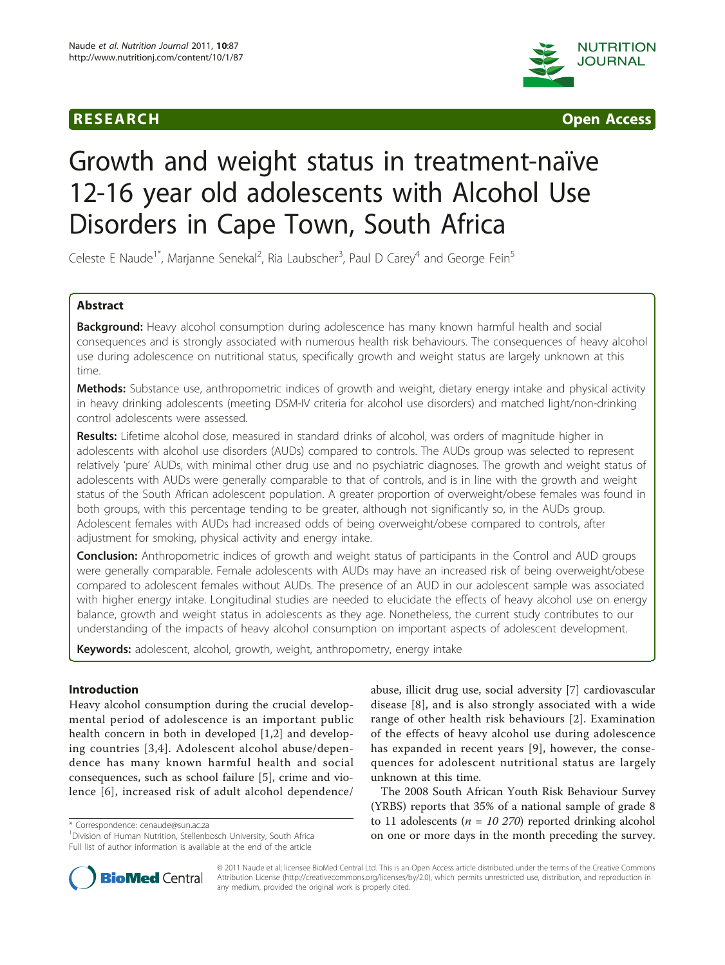



# Growth and weight status in treatment-naïve 12-16 year old adolescents with Alcohol Use Disorders in Cape Town, South Africa

Celeste E Naude<sup>1\*</sup>, Marjanne Senekal<sup>2</sup>, Ria Laubscher<sup>3</sup>, Paul D Carey<sup>4</sup> and George Fein<sup>5</sup>

# Abstract

**Background:** Heavy alcohol consumption during adolescence has many known harmful health and social consequences and is strongly associated with numerous health risk behaviours. The consequences of heavy alcohol use during adolescence on nutritional status, specifically growth and weight status are largely unknown at this time.

Methods: Substance use, anthropometric indices of growth and weight, dietary energy intake and physical activity in heavy drinking adolescents (meeting DSM-IV criteria for alcohol use disorders) and matched light/non-drinking control adolescents were assessed.

Results: Lifetime alcohol dose, measured in standard drinks of alcohol, was orders of magnitude higher in adolescents with alcohol use disorders (AUDs) compared to controls. The AUDs group was selected to represent relatively 'pure' AUDs, with minimal other drug use and no psychiatric diagnoses. The growth and weight status of adolescents with AUDs were generally comparable to that of controls, and is in line with the growth and weight status of the South African adolescent population. A greater proportion of overweight/obese females was found in both groups, with this percentage tending to be greater, although not significantly so, in the AUDs group. Adolescent females with AUDs had increased odds of being overweight/obese compared to controls, after adjustment for smoking, physical activity and energy intake.

**Conclusion:** Anthropometric indices of growth and weight status of participants in the Control and AUD groups were generally comparable. Female adolescents with AUDs may have an increased risk of being overweight/obese compared to adolescent females without AUDs. The presence of an AUD in our adolescent sample was associated with higher energy intake. Longitudinal studies are needed to elucidate the effects of heavy alcohol use on energy balance, growth and weight status in adolescents as they age. Nonetheless, the current study contributes to our understanding of the impacts of heavy alcohol consumption on important aspects of adolescent development.

Keywords: adolescent, alcohol, growth, weight, anthropometry, energy intake

# Introduction

Heavy alcohol consumption during the crucial developmental period of adolescence is an important public health concern in both in developed [\[1,2](#page-10-0)] and developing countries [[3](#page-10-0),[4\]](#page-10-0). Adolescent alcohol abuse/dependence has many known harmful health and social consequences, such as school failure [[5\]](#page-10-0), crime and violence [[6](#page-10-0)], increased risk of adult alcohol dependence/

\* Correspondence: [cenaude@sun.ac.za](mailto:cenaude@sun.ac.za)

abuse, illicit drug use, social adversity [\[7](#page-10-0)] cardiovascular disease [\[8](#page-10-0)], and is also strongly associated with a wide range of other health risk behaviours [[2](#page-10-0)]. Examination of the effects of heavy alcohol use during adolescence has expanded in recent years [[9\]](#page-10-0), however, the consequences for adolescent nutritional status are largely unknown at this time.

The 2008 South African Youth Risk Behaviour Survey (YRBS) reports that 35% of a national sample of grade 8 to 11 adolescents ( $n = 10270$ ) reported drinking alcohol on one or more days in the month preceding the survey.



© 2011 Naude et al; licensee BioMed Central Ltd. This is an Open Access article distributed under the terms of the Creative Commons Attribution License [\(http://creativecommons.org/licenses/by/2.0](http://creativecommons.org/licenses/by/2.0)), which permits unrestricted use, distribution, and reproduction in any medium, provided the original work is properly cited.

<sup>&</sup>lt;sup>1</sup> Division of Human Nutrition, Stellenbosch University, South Africa Full list of author information is available at the end of the article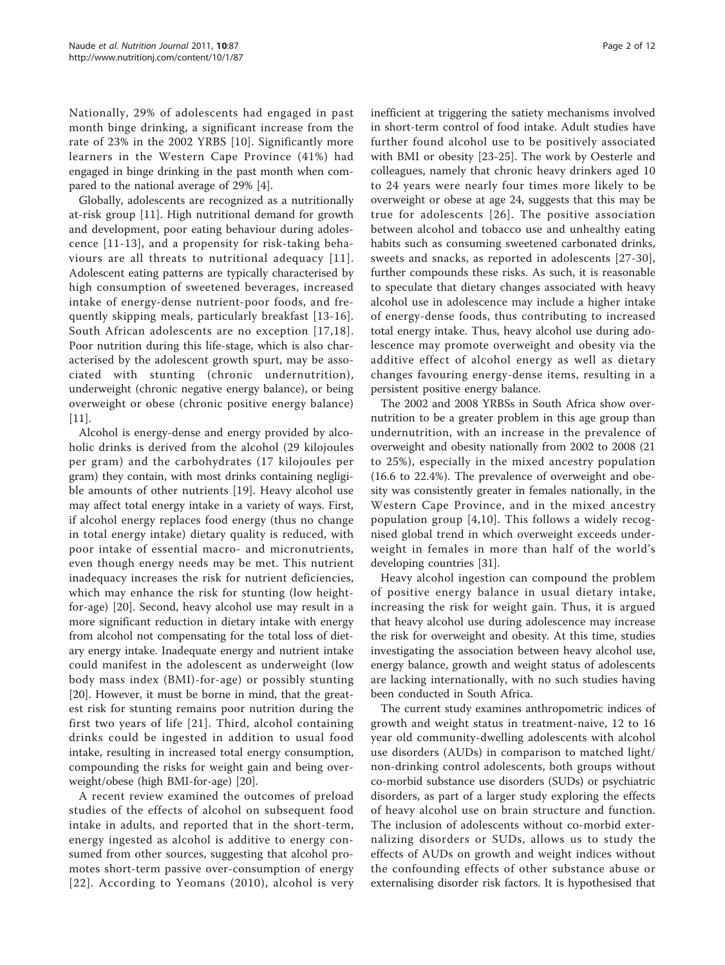Nationally, 29% of adolescents had engaged in past month binge drinking, a significant increase from the rate of 23% in the 2002 YRBS [[10](#page-10-0)]. Significantly more learners in the Western Cape Province (41%) had engaged in binge drinking in the past month when compared to the national average of 29% [\[4](#page-10-0)].

Globally, adolescents are recognized as a nutritionally at-risk group [\[11](#page-10-0)]. High nutritional demand for growth and development, poor eating behaviour during adolescence [[11-13\]](#page-10-0), and a propensity for risk-taking behaviours are all threats to nutritional adequacy [[11\]](#page-10-0). Adolescent eating patterns are typically characterised by high consumption of sweetened beverages, increased intake of energy-dense nutrient-poor foods, and frequently skipping meals, particularly breakfast [[13-16\]](#page-10-0). South African adolescents are no exception [[17,18\]](#page-10-0). Poor nutrition during this life-stage, which is also characterised by the adolescent growth spurt, may be associated with stunting (chronic undernutrition), underweight (chronic negative energy balance), or being overweight or obese (chronic positive energy balance)  $[11]$  $[11]$ .

Alcohol is energy-dense and energy provided by alcoholic drinks is derived from the alcohol (29 kilojoules per gram) and the carbohydrates (17 kilojoules per gram) they contain, with most drinks containing negligible amounts of other nutrients [[19\]](#page-10-0). Heavy alcohol use may affect total energy intake in a variety of ways. First, if alcohol energy replaces food energy (thus no change in total energy intake) dietary quality is reduced, with poor intake of essential macro- and micronutrients, even though energy needs may be met. This nutrient inadequacy increases the risk for nutrient deficiencies, which may enhance the risk for stunting (low heightfor-age) [[20\]](#page-10-0). Second, heavy alcohol use may result in a more significant reduction in dietary intake with energy from alcohol not compensating for the total loss of dietary energy intake. Inadequate energy and nutrient intake could manifest in the adolescent as underweight (low body mass index (BMI)-for-age) or possibly stunting [[20\]](#page-10-0). However, it must be borne in mind, that the greatest risk for stunting remains poor nutrition during the first two years of life [[21\]](#page-10-0). Third, alcohol containing drinks could be ingested in addition to usual food intake, resulting in increased total energy consumption, compounding the risks for weight gain and being overweight/obese (high BMI-for-age) [\[20\]](#page-10-0).

A recent review examined the outcomes of preload studies of the effects of alcohol on subsequent food intake in adults, and reported that in the short-term, energy ingested as alcohol is additive to energy consumed from other sources, suggesting that alcohol promotes short-term passive over-consumption of energy [[22](#page-10-0)]. According to Yeomans (2010), alcohol is very inefficient at triggering the satiety mechanisms involved in short-term control of food intake. Adult studies have further found alcohol use to be positively associated with BMI or obesity [[23-25\]](#page-10-0). The work by Oesterle and colleagues, namely that chronic heavy drinkers aged 10 to 24 years were nearly four times more likely to be overweight or obese at age 24, suggests that this may be true for adolescents [[26](#page-10-0)]. The positive association between alcohol and tobacco use and unhealthy eating habits such as consuming sweetened carbonated drinks, sweets and snacks, as reported in adolescents [[27-30](#page-10-0)], further compounds these risks. As such, it is reasonable to speculate that dietary changes associated with heavy alcohol use in adolescence may include a higher intake of energy-dense foods, thus contributing to increased total energy intake. Thus, heavy alcohol use during adolescence may promote overweight and obesity via the additive effect of alcohol energy as well as dietary changes favouring energy-dense items, resulting in a persistent positive energy balance.

The 2002 and 2008 YRBSs in South Africa show overnutrition to be a greater problem in this age group than undernutrition, with an increase in the prevalence of overweight and obesity nationally from 2002 to 2008 (21 to 25%), especially in the mixed ancestry population (16.6 to 22.4%). The prevalence of overweight and obesity was consistently greater in females nationally, in the Western Cape Province, and in the mixed ancestry population group [\[4,10](#page-10-0)]. This follows a widely recognised global trend in which overweight exceeds underweight in females in more than half of the world's developing countries [[31\]](#page-10-0).

Heavy alcohol ingestion can compound the problem of positive energy balance in usual dietary intake, increasing the risk for weight gain. Thus, it is argued that heavy alcohol use during adolescence may increase the risk for overweight and obesity. At this time, studies investigating the association between heavy alcohol use, energy balance, growth and weight status of adolescents are lacking internationally, with no such studies having been conducted in South Africa.

The current study examines anthropometric indices of growth and weight status in treatment-naive, 12 to 16 year old community-dwelling adolescents with alcohol use disorders (AUDs) in comparison to matched light/ non-drinking control adolescents, both groups without co-morbid substance use disorders (SUDs) or psychiatric disorders, as part of a larger study exploring the effects of heavy alcohol use on brain structure and function. The inclusion of adolescents without co-morbid externalizing disorders or SUDs, allows us to study the effects of AUDs on growth and weight indices without the confounding effects of other substance abuse or externalising disorder risk factors. It is hypothesised that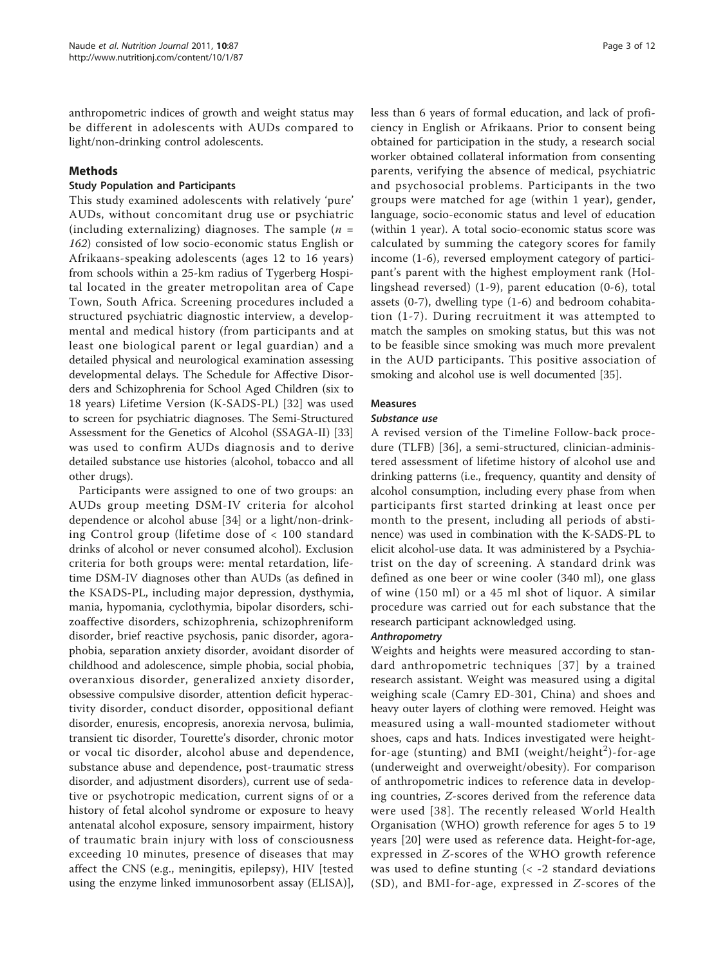anthropometric indices of growth and weight status may be different in adolescents with AUDs compared to light/non-drinking control adolescents.

# Methods

# Study Population and Participants

This study examined adolescents with relatively 'pure' AUDs, without concomitant drug use or psychiatric (including externalizing) diagnoses. The sample  $(n =$ 162) consisted of low socio-economic status English or Afrikaans-speaking adolescents (ages 12 to 16 years) from schools within a 25-km radius of Tygerberg Hospital located in the greater metropolitan area of Cape Town, South Africa. Screening procedures included a structured psychiatric diagnostic interview, a developmental and medical history (from participants and at least one biological parent or legal guardian) and a detailed physical and neurological examination assessing developmental delays. The Schedule for Affective Disorders and Schizophrenia for School Aged Children (six to 18 years) Lifetime Version (K-SADS-PL) [[32\]](#page-10-0) was used to screen for psychiatric diagnoses. The Semi-Structured Assessment for the Genetics of Alcohol (SSAGA-II) [[33](#page-10-0)] was used to confirm AUDs diagnosis and to derive detailed substance use histories (alcohol, tobacco and all other drugs).

Participants were assigned to one of two groups: an AUDs group meeting DSM-IV criteria for alcohol dependence or alcohol abuse [\[34](#page-10-0)] or a light/non-drinking Control group (lifetime dose of < 100 standard drinks of alcohol or never consumed alcohol). Exclusion criteria for both groups were: mental retardation, lifetime DSM-IV diagnoses other than AUDs (as defined in the KSADS-PL, including major depression, dysthymia, mania, hypomania, cyclothymia, bipolar disorders, schizoaffective disorders, schizophrenia, schizophreniform disorder, brief reactive psychosis, panic disorder, agoraphobia, separation anxiety disorder, avoidant disorder of childhood and adolescence, simple phobia, social phobia, overanxious disorder, generalized anxiety disorder, obsessive compulsive disorder, attention deficit hyperactivity disorder, conduct disorder, oppositional defiant disorder, enuresis, encopresis, anorexia nervosa, bulimia, transient tic disorder, Tourette's disorder, chronic motor or vocal tic disorder, alcohol abuse and dependence, substance abuse and dependence, post-traumatic stress disorder, and adjustment disorders), current use of sedative or psychotropic medication, current signs of or a history of fetal alcohol syndrome or exposure to heavy antenatal alcohol exposure, sensory impairment, history of traumatic brain injury with loss of consciousness exceeding 10 minutes, presence of diseases that may affect the CNS (e.g., meningitis, epilepsy), HIV [tested using the enzyme linked immunosorbent assay (ELISA)], less than 6 years of formal education, and lack of proficiency in English or Afrikaans. Prior to consent being obtained for participation in the study, a research social worker obtained collateral information from consenting parents, verifying the absence of medical, psychiatric and psychosocial problems. Participants in the two groups were matched for age (within 1 year), gender, language, socio-economic status and level of education (within 1 year). A total socio-economic status score was calculated by summing the category scores for family income (1-6), reversed employment category of participant's parent with the highest employment rank (Hollingshead reversed) (1-9), parent education (0-6), total assets (0-7), dwelling type (1-6) and bedroom cohabitation (1-7). During recruitment it was attempted to match the samples on smoking status, but this was not to be feasible since smoking was much more prevalent in the AUD participants. This positive association of smoking and alcohol use is well documented [[35\]](#page-10-0).

# Measures

A revised version of the Timeline Follow-back procedure (TLFB) [[36](#page-10-0)], a semi-structured, clinician-administered assessment of lifetime history of alcohol use and drinking patterns (i.e., frequency, quantity and density of alcohol consumption, including every phase from when participants first started drinking at least once per month to the present, including all periods of abstinence) was used in combination with the K-SADS-PL to elicit alcohol-use data. It was administered by a Psychiatrist on the day of screening. A standard drink was defined as one beer or wine cooler (340 ml), one glass of wine (150 ml) or a 45 ml shot of liquor. A similar procedure was carried out for each substance that the research participant acknowledged using.

Weights and heights were measured according to standard anthropometric techniques [[37](#page-10-0)] by a trained research assistant. Weight was measured using a digital weighing scale (Camry ED-301, China) and shoes and heavy outer layers of clothing were removed. Height was measured using a wall-mounted stadiometer without shoes, caps and hats. Indices investigated were heightfor-age (stunting) and BMI (weight/height<sup>2</sup>)-for-age (underweight and overweight/obesity). For comparison of anthropometric indices to reference data in developing countries, Z-scores derived from the reference data were used [[38](#page-10-0)]. The recently released World Health Organisation (WHO) growth reference for ages 5 to 19 years [[20](#page-10-0)] were used as reference data. Height-for-age, expressed in Z-scores of the WHO growth reference was used to define stunting (< -2 standard deviations (SD), and BMI-for-age, expressed in Z-scores of the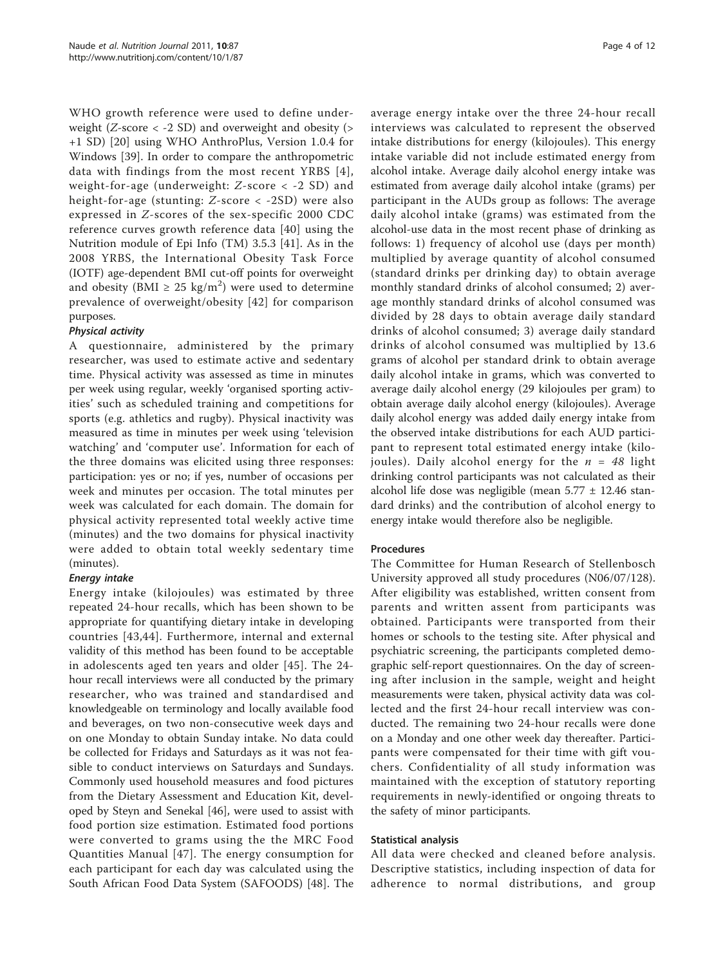WHO growth reference were used to define underweight ( $Z$ -score  $\langle$  -2 SD) and overweight and obesity ( $>$ +1 SD) [[20\]](#page-10-0) using WHO AnthroPlus, Version 1.0.4 for Windows [\[39](#page-10-0)]. In order to compare the anthropometric data with findings from the most recent YRBS [[4\]](#page-10-0), weight-for-age (underweight: Z-score < -2 SD) and height-for-age (stunting: Z-score < -2SD) were also expressed in Z-scores of the sex-specific 2000 CDC reference curves growth reference data [\[40\]](#page-10-0) using the Nutrition module of Epi Info (TM) 3.5.3 [\[41](#page-10-0)]. As in the 2008 YRBS, the International Obesity Task Force (IOTF) age-dependent BMI cut-off points for overweight and obesity (BMI  $\geq 25$  kg/m<sup>2</sup>) were used to determine prevalence of overweight/obesity [[42](#page-10-0)] for comparison purposes.

A questionnaire, administered by the primary researcher, was used to estimate active and sedentary time. Physical activity was assessed as time in minutes per week using regular, weekly 'organised sporting activities' such as scheduled training and competitions for sports (e.g. athletics and rugby). Physical inactivity was measured as time in minutes per week using 'television watching' and 'computer use'. Information for each of the three domains was elicited using three responses: participation: yes or no; if yes, number of occasions per week and minutes per occasion. The total minutes per week was calculated for each domain. The domain for physical activity represented total weekly active time (minutes) and the two domains for physical inactivity were added to obtain total weekly sedentary time (minutes).

Energy intake Energy intake (kilojoules) was estimated by three repeated 24-hour recalls, which has been shown to be appropriate for quantifying dietary intake in developing countries [\[43,44\]](#page-11-0). Furthermore, internal and external validity of this method has been found to be acceptable in adolescents aged ten years and older [\[45\]](#page-11-0). The 24 hour recall interviews were all conducted by the primary researcher, who was trained and standardised and knowledgeable on terminology and locally available food and beverages, on two non-consecutive week days and on one Monday to obtain Sunday intake. No data could be collected for Fridays and Saturdays as it was not feasible to conduct interviews on Saturdays and Sundays. Commonly used household measures and food pictures from the Dietary Assessment and Education Kit, developed by Steyn and Senekal [[46\]](#page-11-0), were used to assist with food portion size estimation. Estimated food portions were converted to grams using the the MRC Food Quantities Manual [\[47\]](#page-11-0). The energy consumption for each participant for each day was calculated using the South African Food Data System (SAFOODS) [[48](#page-11-0)]. The average energy intake over the three 24-hour recall interviews was calculated to represent the observed intake distributions for energy (kilojoules). This energy intake variable did not include estimated energy from alcohol intake. Average daily alcohol energy intake was estimated from average daily alcohol intake (grams) per participant in the AUDs group as follows: The average daily alcohol intake (grams) was estimated from the alcohol-use data in the most recent phase of drinking as follows: 1) frequency of alcohol use (days per month) multiplied by average quantity of alcohol consumed (standard drinks per drinking day) to obtain average monthly standard drinks of alcohol consumed; 2) average monthly standard drinks of alcohol consumed was divided by 28 days to obtain average daily standard drinks of alcohol consumed; 3) average daily standard drinks of alcohol consumed was multiplied by 13.6 grams of alcohol per standard drink to obtain average daily alcohol intake in grams, which was converted to average daily alcohol energy (29 kilojoules per gram) to obtain average daily alcohol energy (kilojoules). Average daily alcohol energy was added daily energy intake from the observed intake distributions for each AUD participant to represent total estimated energy intake (kilojoules). Daily alcohol energy for the  $n = 48$  light drinking control participants was not calculated as their alcohol life dose was negligible (mean  $5.77 \pm 12.46$  standard drinks) and the contribution of alcohol energy to energy intake would therefore also be negligible.

# Procedures

The Committee for Human Research of Stellenbosch University approved all study procedures (N06/07/128). After eligibility was established, written consent from parents and written assent from participants was obtained. Participants were transported from their homes or schools to the testing site. After physical and psychiatric screening, the participants completed demographic self-report questionnaires. On the day of screening after inclusion in the sample, weight and height measurements were taken, physical activity data was collected and the first 24-hour recall interview was conducted. The remaining two 24-hour recalls were done on a Monday and one other week day thereafter. Participants were compensated for their time with gift vouchers. Confidentiality of all study information was maintained with the exception of statutory reporting requirements in newly-identified or ongoing threats to the safety of minor participants.

### Statistical analysis

All data were checked and cleaned before analysis. Descriptive statistics, including inspection of data for adherence to normal distributions, and group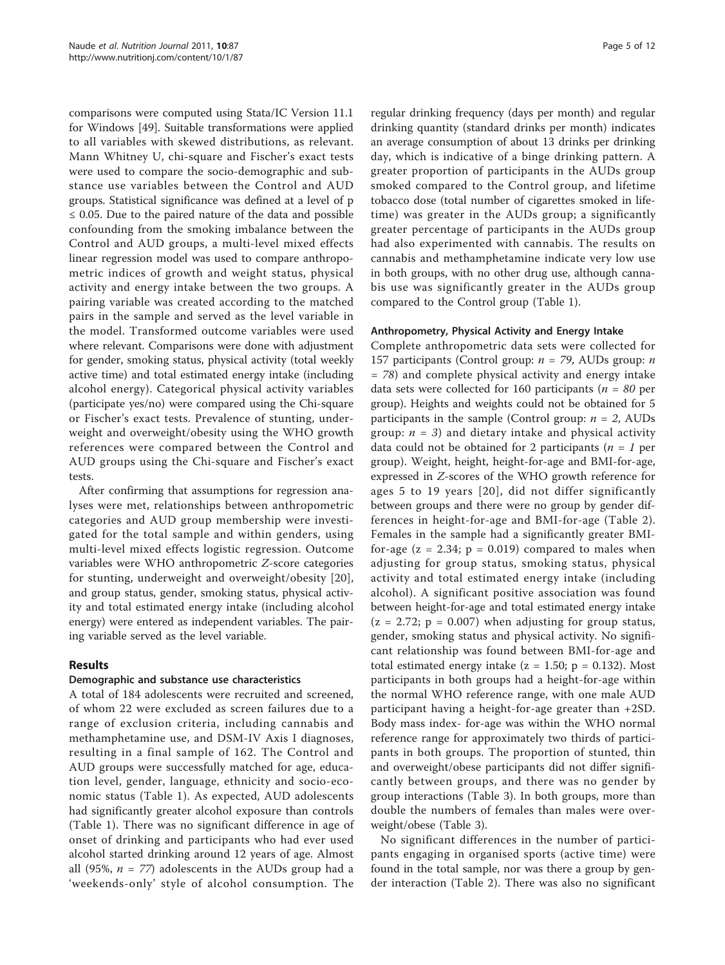comparisons were computed using Stata/IC Version 11.1 for Windows [[49\]](#page-11-0). Suitable transformations were applied to all variables with skewed distributions, as relevant. Mann Whitney U, chi-square and Fischer's exact tests were used to compare the socio-demographic and substance use variables between the Control and AUD groups. Statistical significance was defined at a level of p  $\leq$  0.05. Due to the paired nature of the data and possible confounding from the smoking imbalance between the Control and AUD groups, a multi-level mixed effects linear regression model was used to compare anthropometric indices of growth and weight status, physical activity and energy intake between the two groups. A pairing variable was created according to the matched pairs in the sample and served as the level variable in the model. Transformed outcome variables were used where relevant. Comparisons were done with adjustment for gender, smoking status, physical activity (total weekly active time) and total estimated energy intake (including alcohol energy). Categorical physical activity variables (participate yes/no) were compared using the Chi-square or Fischer's exact tests. Prevalence of stunting, underweight and overweight/obesity using the WHO growth references were compared between the Control and AUD groups using the Chi-square and Fischer's exact tests.

After confirming that assumptions for regression analyses were met, relationships between anthropometric categories and AUD group membership were investigated for the total sample and within genders, using multi-level mixed effects logistic regression. Outcome variables were WHO anthropometric Z-score categories for stunting, underweight and overweight/obesity [[20](#page-10-0)], and group status, gender, smoking status, physical activity and total estimated energy intake (including alcohol energy) were entered as independent variables. The pairing variable served as the level variable.

# Results

# Demographic and substance use characteristics

A total of 184 adolescents were recruited and screened, of whom 22 were excluded as screen failures due to a range of exclusion criteria, including cannabis and methamphetamine use, and DSM-IV Axis I diagnoses, resulting in a final sample of 162. The Control and AUD groups were successfully matched for age, education level, gender, language, ethnicity and socio-economic status (Table [1](#page-5-0)). As expected, AUD adolescents had significantly greater alcohol exposure than controls (Table [1](#page-5-0)). There was no significant difference in age of onset of drinking and participants who had ever used alcohol started drinking around 12 years of age. Almost all (95%,  $n = 77$ ) adolescents in the AUDs group had a 'weekends-only' style of alcohol consumption. The

regular drinking frequency (days per month) and regular drinking quantity (standard drinks per month) indicates an average consumption of about 13 drinks per drinking day, which is indicative of a binge drinking pattern. A greater proportion of participants in the AUDs group smoked compared to the Control group, and lifetime tobacco dose (total number of cigarettes smoked in lifetime) was greater in the AUDs group; a significantly greater percentage of participants in the AUDs group had also experimented with cannabis. The results on cannabis and methamphetamine indicate very low use in both groups, with no other drug use, although cannabis use was significantly greater in the AUDs group compared to the Control group (Table [1\)](#page-5-0).

### Anthropometry, Physical Activity and Energy Intake

Complete anthropometric data sets were collected for 157 participants (Control group:  $n = 79$ , AUDs group: *n* = 78) and complete physical activity and energy intake data sets were collected for 160 participants ( $n = 80$  per group). Heights and weights could not be obtained for 5 participants in the sample (Control group:  $n=2$ , AUDs group:  $n=3$ ) and dietary intake and physical activity data could not be obtained for 2 participants ( $n=1$  per group). Weight, height, height-for-age and BMI-for-age, expressed in Z-scores of the WHO growth reference for ages 5 to 19 years [[20](#page-10-0)], did not differ significantly between groups and there were no group by gender differences in height-for-age and BMI-for-age (Table [2\)](#page-6-0). Females in the sample had a significantly greater BMIfor-age  $(z = 2.34; p = 0.019)$  compared to males when adjusting for group status, smoking status, physical activity and total estimated energy intake (including alcohol). A significant positive association was found between height-for-age and total estimated energy intake  $(z = 2.72; p = 0.007)$  when adjusting for group status, gender, smoking status and physical activity. No significant relationship was found between BMI-for-age and total estimated energy intake  $(z = 1.50; p = 0.132)$ . Most participants in both groups had a height-for-age within the normal WHO reference range, with one male AUD participant having a height-for-age greater than +2SD. Body mass index- for-age was within the WHO normal reference range for approximately two thirds of participants in both groups. The proportion of stunted, thin and overweight/obese participants did not differ significantly between groups, and there was no gender by group interactions (Table [3\)](#page-7-0). In both groups, more than double the numbers of females than males were overweight/obese (Table [3](#page-7-0)).

No significant differences in the number of participants engaging in organised sports (active time) were found in the total sample, nor was there a group by gender interaction (Table [2\)](#page-6-0). There was also no significant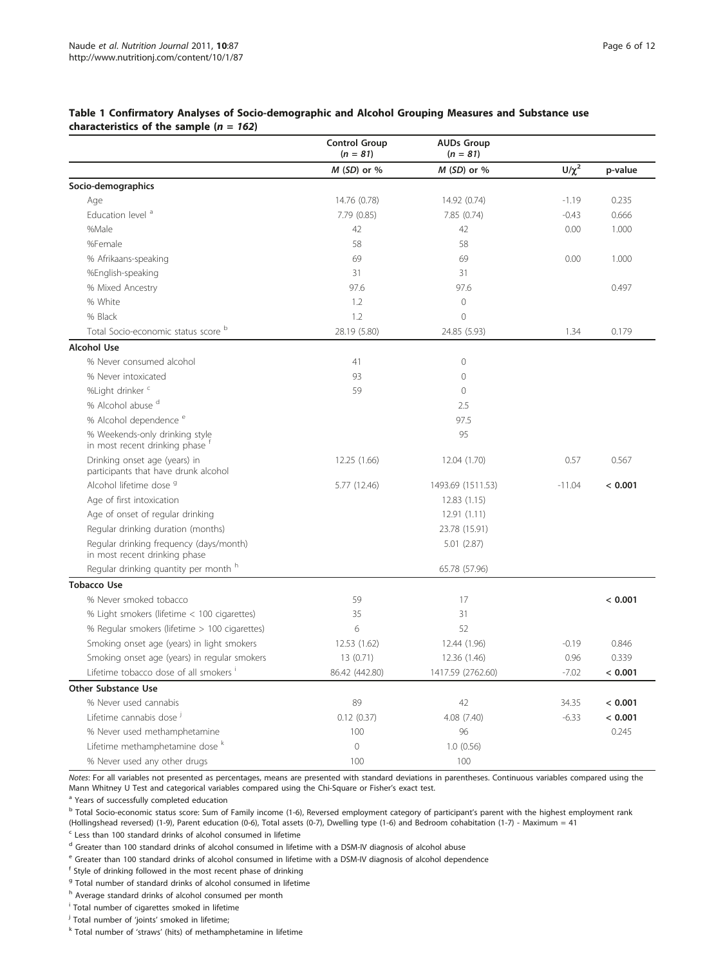### <span id="page-5-0"></span>Table 1 Confirmatory Analyses of Socio-demographic and Alcohol Grouping Measures and Substance use characteristics of the sample  $(n = 162)$

|                                                                          | <b>Control Group</b><br>$(n = 81)$ | <b>AUDs Group</b><br>$(n = 81)$ |            |         |
|--------------------------------------------------------------------------|------------------------------------|---------------------------------|------------|---------|
|                                                                          | $M$ (SD) or %                      | $M(SD)$ or %                    | $U/\chi^2$ | p-value |
| Socio-demographics                                                       |                                    |                                 |            |         |
| Age                                                                      | 14.76 (0.78)                       | 14.92 (0.74)                    | $-1.19$    | 0.235   |
| Education level <sup>a</sup>                                             | 7.79 (0.85)                        | 7.85 (0.74)                     | $-0.43$    | 0.666   |
| %Male                                                                    | 42                                 | 42                              | 0.00       | 1.000   |
| %Female                                                                  | 58                                 | 58                              |            |         |
| % Afrikaans-speaking                                                     | 69                                 | 69                              | 0.00       | 1.000   |
| %English-speaking                                                        | 31                                 | 31                              |            |         |
| % Mixed Ancestry                                                         | 97.6                               | 97.6                            |            | 0.497   |
| % White                                                                  | 1.2                                | $\mathbf{0}$                    |            |         |
| % Black                                                                  | 1.2                                | $\circ$                         |            |         |
| Total Socio-economic status score b                                      | 28.19 (5.80)                       | 24.85 (5.93)                    | 1.34       | 0.179   |
| <b>Alcohol Use</b>                                                       |                                    |                                 |            |         |
| % Never consumed alcohol                                                 | 41                                 | $\mathbf{0}$                    |            |         |
| % Never intoxicated                                                      | 93                                 | $\overline{O}$                  |            |         |
| %Light drinker <sup>c</sup>                                              | 59                                 | $\mathbf{0}$                    |            |         |
| % Alcohol abuse <sup>d</sup>                                             |                                    | 2.5                             |            |         |
| % Alcohol dependence <sup>e</sup>                                        |                                    | 97.5                            |            |         |
| % Weekends-only drinking style<br>in most recent drinking phase          |                                    | 95                              |            |         |
| Drinking onset age (years) in<br>participants that have drunk alcohol    | 12.25 (1.66)                       | 12.04 (1.70)                    | 0.57       | 0.567   |
| Alcohol lifetime dose 9                                                  | 5.77 (12.46)                       | 1493.69 (1511.53)               | $-11.04$   | < 0.001 |
| Age of first intoxication                                                |                                    | 12.83(1.15)                     |            |         |
| Age of onset of regular drinking                                         |                                    | 12.91(1.11)                     |            |         |
| Regular drinking duration (months)                                       |                                    | 23.78 (15.91)                   |            |         |
| Regular drinking frequency (days/month)<br>in most recent drinking phase |                                    | 5.01(2.87)                      |            |         |
| Regular drinking quantity per month h                                    |                                    | 65.78 (57.96)                   |            |         |
| <b>Tobacco Use</b>                                                       |                                    |                                 |            |         |
| % Never smoked tobacco                                                   | 59                                 | 17                              |            | < 0.001 |
| % Light smokers (lifetime < 100 cigarettes)                              | 35                                 | 31                              |            |         |
| % Regular smokers (lifetime > 100 cigarettes)                            | 6                                  | 52                              |            |         |
| Smoking onset age (years) in light smokers                               | 12.53 (1.62)                       | 12.44 (1.96)                    | $-0.19$    | 0.846   |
| Smoking onset age (years) in regular smokers                             | 13 (0.71)                          | 12.36 (1.46)                    | 0.96       | 0.339   |
| Lifetime tobacco dose of all smokers i                                   | 86.42 (442.80)                     | 1417.59 (2762.60)               | $-7.02$    | < 0.001 |
| <b>Other Substance Use</b>                                               |                                    |                                 |            |         |
| % Never used cannabis                                                    | 89                                 | 42                              | 34.35      | < 0.001 |
| Lifetime cannabis dose J                                                 | 0.12(0.37)                         | 4.08 (7.40)                     | $-6.33$    | < 0.001 |
| % Never used methamphetamine                                             | 100                                | 96                              |            | 0.245   |
| Lifetime methamphetamine dose k                                          | $\mathcal O$                       | 1.0(0.56)                       |            |         |
| % Never used any other drugs                                             | 100                                | 100                             |            |         |

Notes: For all variables not presented as percentages, means are presented with standard deviations in parentheses. Continuous variables compared using the Mann Whitney U Test and categorical variables compared using the Chi-Square or Fisher's exact test.

<sup>a</sup> Years of successfully completed education

<sup>b</sup> Total Socio-economic status score: Sum of Family income (1-6), Reversed employment category of participant's parent with the highest employment rank (Hollingshead reversed) (1-9), Parent education (0-6), Total assets (0-7), Dwelling type (1-6) and Bedroom cohabitation (1-7) - Maximum = 41

 $c$  Less than 100 standard drinks of alcohol consumed in lifetime

<sup>d</sup> Greater than 100 standard drinks of alcohol consumed in lifetime with a DSM-IV diagnosis of alcohol abuse

<sup>e</sup> Greater than 100 standard drinks of alcohol consumed in lifetime with a DSM-IV diagnosis of alcohol dependence

<sup>f</sup> Style of drinking followed in the most recent phase of drinking

<sup>g</sup> Total number of standard drinks of alcohol consumed in lifetime

<sup>h</sup> Average standard drinks of alcohol consumed per month

<sup>i</sup> Total number of cigarettes smoked in lifetime

<sup>j</sup> Total number of 'joints' smoked in lifetime;

 $k$  Total number of 'straws' (hits) of methamphetamine in lifetime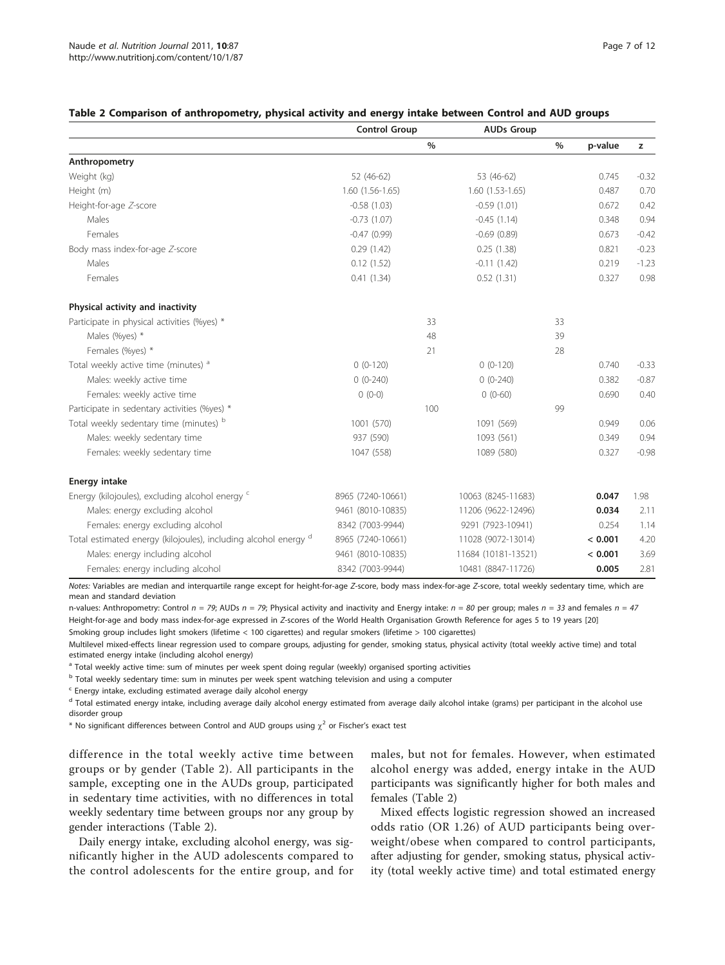# <span id="page-6-0"></span>Table 2 Comparison of anthropometry, physical activity and energy intake between Control and AUD groups

|                                                                            | <b>Control Group</b> |               | <b>AUDs Group</b>   |               |         |         |
|----------------------------------------------------------------------------|----------------------|---------------|---------------------|---------------|---------|---------|
|                                                                            |                      | $\frac{0}{0}$ |                     | $\frac{0}{0}$ | p-value | z       |
| Anthropometry                                                              |                      |               |                     |               |         |         |
| Weight (kg)                                                                | 52 (46-62)           |               | 53 (46-62)          |               | 0.745   | $-0.32$ |
| Height (m)                                                                 | $1.60(1.56-1.65)$    |               | $1.60(1.53-1.65)$   |               | 0.487   | 0.70    |
| Height-for-age Z-score                                                     | $-0.58(1.03)$        |               | $-0.59(1.01)$       |               | 0.672   | 0.42    |
| Males                                                                      | $-0.73(1.07)$        |               | $-0.45(1.14)$       |               | 0.348   | 0.94    |
| Females                                                                    | $-0.47(0.99)$        |               | $-0.69(0.89)$       |               | 0.673   | $-0.42$ |
| Body mass index-for-age Z-score                                            | 0.29(1.42)           |               | 0.25(1.38)          |               | 0.821   | $-0.23$ |
| Males                                                                      | 0.12(1.52)           |               | $-0.11(1.42)$       |               | 0.219   | $-1.23$ |
| Females                                                                    | 0.41(1.34)           |               | 0.52(1.31)          |               | 0.327   | 0.98    |
| Physical activity and inactivity                                           |                      |               |                     |               |         |         |
| Participate in physical activities (%yes) *                                |                      | 33            |                     | 33            |         |         |
| Males (%yes) *                                                             |                      | 48            |                     | 39            |         |         |
| Females (%yes) *                                                           |                      | 21            |                     | 28            |         |         |
| Total weekly active time (minutes) <sup>a</sup>                            | $0(0-120)$           |               | $0(0-120)$          |               | 0.740   | $-0.33$ |
| Males: weekly active time                                                  | $0(0-240)$           |               | $0(0-240)$          |               | 0.382   | $-0.87$ |
| Females: weekly active time                                                | $0(0-0)$             |               | $0(0-60)$           |               | 0.690   | 0.40    |
| Participate in sedentary activities (%yes) *                               |                      | 100           |                     | 99            |         |         |
| Total weekly sedentary time (minutes) b                                    | 1001 (570)           |               | 1091 (569)          |               | 0.949   | 0.06    |
| Males: weekly sedentary time                                               | 937 (590)            |               | 1093 (561)          |               | 0.349   | 0.94    |
| Females: weekly sedentary time                                             | 1047 (558)           |               | 1089 (580)          |               | 0.327   | $-0.98$ |
| <b>Energy intake</b>                                                       |                      |               |                     |               |         |         |
| Energy (kilojoules), excluding alcohol energy <sup>c</sup>                 | 8965 (7240-10661)    |               | 10063 (8245-11683)  |               | 0.047   | 1.98    |
| Males: energy excluding alcohol                                            | 9461 (8010-10835)    |               | 11206 (9622-12496)  |               | 0.034   | 2.11    |
| Females: energy excluding alcohol                                          | 8342 (7003-9944)     |               | 9291 (7923-10941)   |               | 0.254   | 1.14    |
| Total estimated energy (kilojoules), including alcohol energy <sup>d</sup> | 8965 (7240-10661)    |               | 11028 (9072-13014)  |               | < 0.001 | 4.20    |
| Males: energy including alcohol                                            | 9461 (8010-10835)    |               | 11684 (10181-13521) |               | < 0.001 | 3.69    |
| Females: energy including alcohol                                          | 8342 (7003-9944)     |               | 10481 (8847-11726)  |               | 0.005   | 2.81    |

Notes: Variables are median and interquartile range except for height-for-age Z-score, body mass index-for-age Z-score, total weekly sedentary time, which are mean and standard deviation

n-values: Anthropometry: Control  $n = 79$ ; AUDs  $n = 79$ ; Physical activity and inactivity and Energy intake:  $n = 80$  per group; males  $n = 33$  and females  $n = 47$ Height-for-age and body mass index-for-age expressed in Z-scores of the World Health Organisation Growth Reference for ages 5 to 19 years [[20\]](#page-10-0) Smoking group includes light smokers (lifetime < 100 cigarettes) and regular smokers (lifetime > 100 cigarettes)

Multilevel mixed-effects linear regression used to compare groups, adjusting for gender, smoking status, physical activity (total weekly active time) and total estimated energy intake (including alcohol energy)

<sup>a</sup> Total weekly active time: sum of minutes per week spent doing regular (weekly) organised sporting activities

<sup>b</sup> Total weekly sedentary time: sum in minutes per week spent watching television and using a computer

<sup>c</sup> Energy intake, excluding estimated average daily alcohol energy

<sup>d</sup> Total estimated energy intake, including average daily alcohol energy estimated from average daily alcohol intake (grams) per participant in the alcohol use disorder group

\* No significant differences between Control and AUD groups using  $\chi^2$  or Fischer's exact test

difference in the total weekly active time between groups or by gender (Table 2). All participants in the sample, excepting one in the AUDs group, participated in sedentary time activities, with no differences in total weekly sedentary time between groups nor any group by gender interactions (Table 2).

Daily energy intake, excluding alcohol energy, was significantly higher in the AUD adolescents compared to the control adolescents for the entire group, and for

males, but not for females. However, when estimated alcohol energy was added, energy intake in the AUD participants was significantly higher for both males and females (Table 2)

Mixed effects logistic regression showed an increased odds ratio (OR 1.26) of AUD participants being overweight/obese when compared to control participants, after adjusting for gender, smoking status, physical activity (total weekly active time) and total estimated energy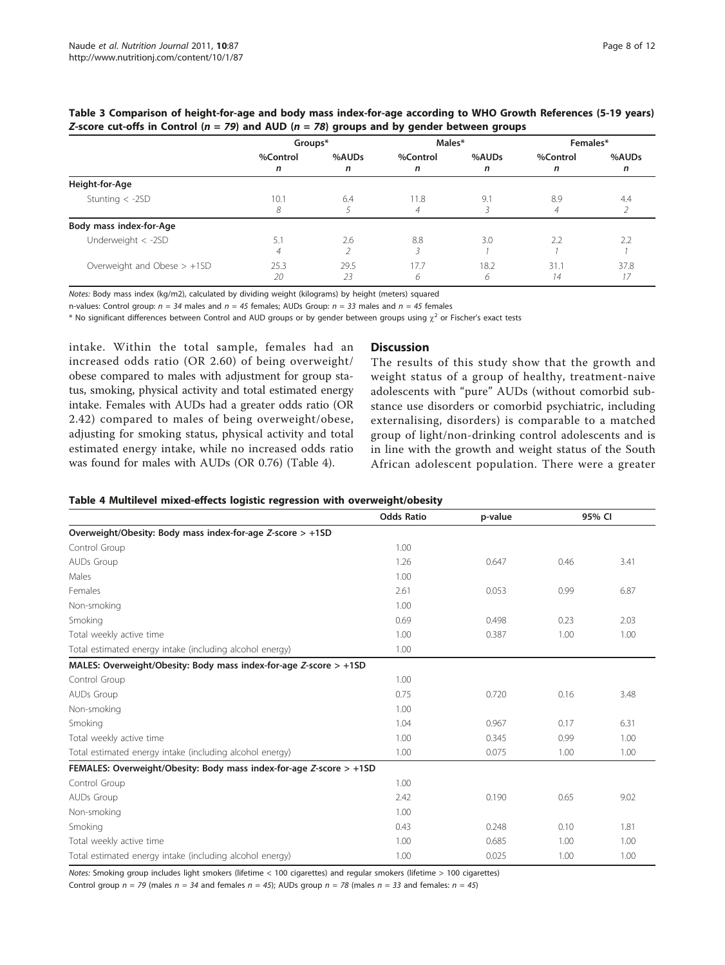|                               | Groups*    |            | Males*                 |           | Females*   |       |
|-------------------------------|------------|------------|------------------------|-----------|------------|-------|
|                               | %Control   | %AUDs      | %Control               | %AUDs     | %Control   | %AUDs |
|                               | n          | n          | n                      | n         | n          | n     |
| Height-for-Age                |            |            |                        |           |            |       |
| Stunting $< -2SD$             | 10.1<br>8  | 6.4        | 11.8<br>$\overline{4}$ | 9.1       | 8.9<br>4   | 4.4   |
| Body mass index-for-Age       |            |            |                        |           |            |       |
| Underweight $<$ -2SD          | 5.1<br>4   | 2.6        | 8.8                    | 3.0       | 2.2        | 22    |
| Overweight and Obese $> +1SD$ | 25.3<br>20 | 29.5<br>23 | 17.7<br>6              | 18.2<br>6 | 31.1<br>14 | 37.8  |

<span id="page-7-0"></span>Table 3 Comparison of height-for-age and body mass index-for-age according to WHO Growth References (5-19 years) Z-score cut-offs in Control ( $n = 79$ ) and AUD ( $n = 78$ ) groups and by gender between groups

Notes: Body mass index (kg/m2), calculated by dividing weight (kilograms) by height (meters) squared

n-values: Control group:  $n = 34$  males and  $n = 45$  females; AUDs Group:  $n = 33$  males and  $n = 45$  females

\* No significant differences between Control and AUD groups or by gender between groups using  $\chi^2$  or Fischer's exact tests

intake. Within the total sample, females had an increased odds ratio (OR 2.60) of being overweight/ obese compared to males with adjustment for group status, smoking, physical activity and total estimated energy intake. Females with AUDs had a greater odds ratio (OR 2.42) compared to males of being overweight/obese, adjusting for smoking status, physical activity and total estimated energy intake, while no increased odds ratio was found for males with AUDs (OR 0.76) (Table 4).

#### **Discussion**

The results of this study show that the growth and weight status of a group of healthy, treatment-naive adolescents with "pure" AUDs (without comorbid substance use disorders or comorbid psychiatric, including externalising, disorders) is comparable to a matched group of light/non-drinking control adolescents and is in line with the growth and weight status of the South African adolescent population. There were a greater

#### Table 4 Multilevel mixed-effects logistic regression with overweight/obesity

|                                                                     | <b>Odds Ratio</b> | p-value | 95% CI |      |
|---------------------------------------------------------------------|-------------------|---------|--------|------|
| Overweight/Obesity: Body mass index-for-age Z-score > +1SD          |                   |         |        |      |
| Control Group                                                       | 1.00              |         |        |      |
| AUDs Group                                                          | 1.26              | 0.647   | 0.46   | 3.41 |
| Males                                                               | 1.00              |         |        |      |
| Females                                                             | 2.61              | 0.053   | 0.99   | 6.87 |
| Non-smoking                                                         | 1.00              |         |        |      |
| Smoking                                                             | 0.69              | 0.498   | 0.23   | 2.03 |
| Total weekly active time                                            | 1.00              | 0.387   | 1.00   | 1.00 |
| Total estimated energy intake (including alcohol energy)            | 1.00              |         |        |      |
| MALES: Overweight/Obesity: Body mass index-for-age Z-score > +1SD   |                   |         |        |      |
| Control Group                                                       | 1.00              |         |        |      |
| AUDs Group                                                          | 0.75              | 0.720   | 0.16   | 3.48 |
| Non-smoking                                                         | 1.00              |         |        |      |
| Smoking                                                             | 1.04              | 0.967   | 0.17   | 6.31 |
| Total weekly active time                                            | 1.00              | 0.345   | 0.99   | 1.00 |
| Total estimated energy intake (including alcohol energy)            | 1.00              | 0.075   | 1.00   | 1.00 |
| FEMALES: Overweight/Obesity: Body mass index-for-age Z-score > +1SD |                   |         |        |      |
| Control Group                                                       | 1.00              |         |        |      |
| <b>AUDs Group</b>                                                   | 2.42              | 0.190   | 0.65   | 9.02 |
| Non-smoking                                                         | 1.00              |         |        |      |
| Smoking                                                             | 0.43              | 0.248   | 0.10   | 1.81 |
| Total weekly active time                                            | 1.00              | 0.685   | 1.00   | 1.00 |
| Total estimated energy intake (including alcohol energy)            | 1.00              | 0.025   | 1.00   | 1.00 |

Notes: Smoking group includes light smokers (lifetime < 100 cigarettes) and regular smokers (lifetime > 100 cigarettes)

Control group  $n = 79$  (males  $n = 34$  and females  $n = 45$ ); AUDs group  $n = 78$  (males  $n = 33$  and females:  $n = 45$ )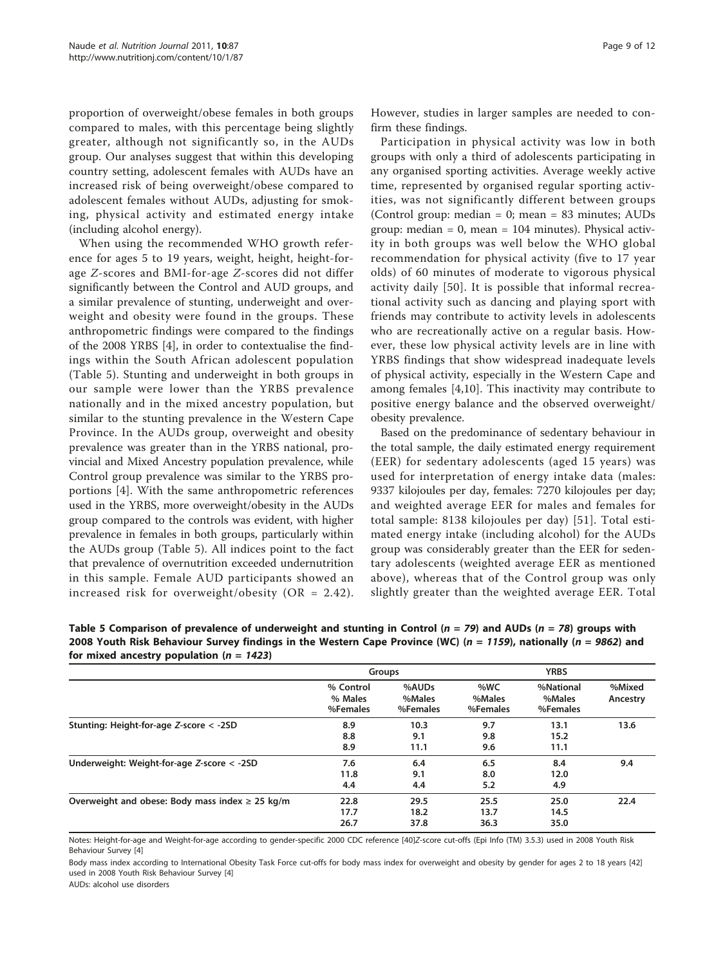proportion of overweight/obese females in both groups compared to males, with this percentage being slightly greater, although not significantly so, in the AUDs group. Our analyses suggest that within this developing country setting, adolescent females with AUDs have an increased risk of being overweight/obese compared to adolescent females without AUDs, adjusting for smoking, physical activity and estimated energy intake (including alcohol energy).

When using the recommended WHO growth reference for ages 5 to 19 years, weight, height, height-forage Z-scores and BMI-for-age Z-scores did not differ significantly between the Control and AUD groups, and a similar prevalence of stunting, underweight and overweight and obesity were found in the groups. These anthropometric findings were compared to the findings of the 2008 YRBS [\[4](#page-10-0)], in order to contextualise the findings within the South African adolescent population (Table 5). Stunting and underweight in both groups in our sample were lower than the YRBS prevalence nationally and in the mixed ancestry population, but similar to the stunting prevalence in the Western Cape Province. In the AUDs group, overweight and obesity prevalence was greater than in the YRBS national, provincial and Mixed Ancestry population prevalence, while Control group prevalence was similar to the YRBS proportions [[4\]](#page-10-0). With the same anthropometric references used in the YRBS, more overweight/obesity in the AUDs group compared to the controls was evident, with higher prevalence in females in both groups, particularly within the AUDs group (Table 5). All indices point to the fact that prevalence of overnutrition exceeded undernutrition in this sample. Female AUD participants showed an increased risk for overweight/obesity (OR = 2.42). However, studies in larger samples are needed to confirm these findings.

Participation in physical activity was low in both groups with only a third of adolescents participating in any organised sporting activities. Average weekly active time, represented by organised regular sporting activities, was not significantly different between groups (Control group: median  $= 0$ ; mean  $= 83$  minutes; AUDs group: median =  $0$ , mean =  $104$  minutes). Physical activity in both groups was well below the WHO global recommendation for physical activity (five to 17 year olds) of 60 minutes of moderate to vigorous physical activity daily [\[50\]](#page-11-0). It is possible that informal recreational activity such as dancing and playing sport with friends may contribute to activity levels in adolescents who are recreationally active on a regular basis. However, these low physical activity levels are in line with YRBS findings that show widespread inadequate levels of physical activity, especially in the Western Cape and among females [[4,10](#page-10-0)]. This inactivity may contribute to positive energy balance and the observed overweight/ obesity prevalence.

Based on the predominance of sedentary behaviour in the total sample, the daily estimated energy requirement (EER) for sedentary adolescents (aged 15 years) was used for interpretation of energy intake data (males: 9337 kilojoules per day, females: 7270 kilojoules per day; and weighted average EER for males and females for total sample: 8138 kilojoules per day) [\[51\]](#page-11-0). Total estimated energy intake (including alcohol) for the AUDs group was considerably greater than the EER for sedentary adolescents (weighted average EER as mentioned above), whereas that of the Control group was only slightly greater than the weighted average EER. Total

| Table 5 Comparison of prevalence of underweight and stunting in Control ( $n = 79$ ) and AUDs ( $n = 78$ ) groups with    |
|---------------------------------------------------------------------------------------------------------------------------|
| 2008 Youth Risk Behaviour Survey findings in the Western Cape Province (WC) ( $n = 1159$ ), nationally ( $n = 9862$ ) and |
| for mixed ancestry population ( $n = 1423$ )                                                                              |

|                                                      | Groups                           |                             | <b>YRBS</b>               |                                 |                    |  |
|------------------------------------------------------|----------------------------------|-----------------------------|---------------------------|---------------------------------|--------------------|--|
|                                                      | % Control<br>% Males<br>%Females | %AUDs<br>%Males<br>%Females | %WC<br>%Males<br>%Females | %National<br>%Males<br>%Females | %Mixed<br>Ancestry |  |
| Stunting: Height-for-age Z-score < -2SD              | 8.9<br>8.8<br>8.9                | 10.3<br>9.1<br>11.1         | 9.7<br>9.8<br>9.6         | 13.1<br>15.2<br>11.1            | 13.6               |  |
| Underweight: Weight-for-age Z-score < -2SD           | 7.6<br>11.8<br>4.4               | 6.4<br>9.1<br>4.4           | 6.5<br>8.0<br>5.2         | 8.4<br>12.0<br>4.9              | 9.4                |  |
| Overweight and obese: Body mass index $\geq$ 25 kg/m | 22.8<br>17.7<br>26.7             | 29.5<br>18.2<br>37.8        | 25.5<br>13.7<br>36.3      | 25.0<br>14.5<br>35.0            | 22.4               |  |

Notes: Height-for-age and Weight-for-age according to gender-specific 2000 CDC reference [\[40](#page-10-0)]Z-score cut-offs (Epi Info (TM) 3.5.3) used in 2008 Youth Risk Behaviour Survey [\[4\]](#page-10-0)

Body mass index according to International Obesity Task Force cut-offs for body mass index for overweight and obesity by gender for ages 2 to 18 years [[42](#page-10-0)] used in 2008 Youth Risk Behaviour Survey [\[4\]](#page-10-0)

AUDs: alcohol use disorders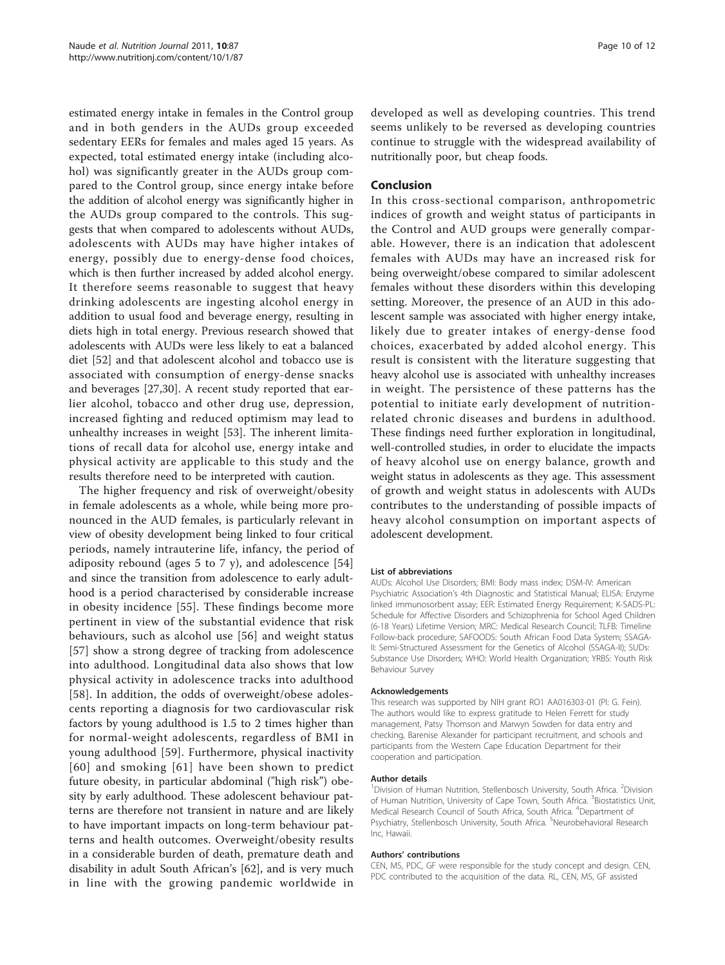estimated energy intake in females in the Control group and in both genders in the AUDs group exceeded sedentary EERs for females and males aged 15 years. As expected, total estimated energy intake (including alcohol) was significantly greater in the AUDs group compared to the Control group, since energy intake before the addition of alcohol energy was significantly higher in the AUDs group compared to the controls. This suggests that when compared to adolescents without AUDs, adolescents with AUDs may have higher intakes of energy, possibly due to energy-dense food choices, which is then further increased by added alcohol energy. It therefore seems reasonable to suggest that heavy drinking adolescents are ingesting alcohol energy in addition to usual food and beverage energy, resulting in diets high in total energy. Previous research showed that adolescents with AUDs were less likely to eat a balanced diet [[52\]](#page-11-0) and that adolescent alcohol and tobacco use is associated with consumption of energy-dense snacks and beverages [\[27,30](#page-10-0)]. A recent study reported that earlier alcohol, tobacco and other drug use, depression, increased fighting and reduced optimism may lead to unhealthy increases in weight [[53\]](#page-11-0). The inherent limitations of recall data for alcohol use, energy intake and physical activity are applicable to this study and the results therefore need to be interpreted with caution.

The higher frequency and risk of overweight/obesity in female adolescents as a whole, while being more pronounced in the AUD females, is particularly relevant in view of obesity development being linked to four critical periods, namely intrauterine life, infancy, the period of adiposity rebound (ages 5 to 7 y), and adolescence [\[54](#page-11-0)] and since the transition from adolescence to early adulthood is a period characterised by considerable increase in obesity incidence [[55](#page-11-0)]. These findings become more pertinent in view of the substantial evidence that risk behaviours, such as alcohol use [\[56\]](#page-11-0) and weight status [[57\]](#page-11-0) show a strong degree of tracking from adolescence into adulthood. Longitudinal data also shows that low physical activity in adolescence tracks into adulthood [[58](#page-11-0)]. In addition, the odds of overweight/obese adolescents reporting a diagnosis for two cardiovascular risk factors by young adulthood is 1.5 to 2 times higher than for normal-weight adolescents, regardless of BMI in young adulthood [[59\]](#page-11-0). Furthermore, physical inactivity [[60](#page-11-0)] and smoking [[61\]](#page-11-0) have been shown to predict future obesity, in particular abdominal ("high risk") obesity by early adulthood. These adolescent behaviour patterns are therefore not transient in nature and are likely to have important impacts on long-term behaviour patterns and health outcomes. Overweight/obesity results in a considerable burden of death, premature death and disability in adult South African's [[62\]](#page-11-0), and is very much in line with the growing pandemic worldwide in

developed as well as developing countries. This trend seems unlikely to be reversed as developing countries continue to struggle with the widespread availability of nutritionally poor, but cheap foods.

### Conclusion

In this cross-sectional comparison, anthropometric indices of growth and weight status of participants in the Control and AUD groups were generally comparable. However, there is an indication that adolescent females with AUDs may have an increased risk for being overweight/obese compared to similar adolescent females without these disorders within this developing setting. Moreover, the presence of an AUD in this adolescent sample was associated with higher energy intake, likely due to greater intakes of energy-dense food choices, exacerbated by added alcohol energy. This result is consistent with the literature suggesting that heavy alcohol use is associated with unhealthy increases in weight. The persistence of these patterns has the potential to initiate early development of nutritionrelated chronic diseases and burdens in adulthood. These findings need further exploration in longitudinal, well-controlled studies, in order to elucidate the impacts of heavy alcohol use on energy balance, growth and weight status in adolescents as they age. This assessment of growth and weight status in adolescents with AUDs contributes to the understanding of possible impacts of heavy alcohol consumption on important aspects of adolescent development.

#### List of abbreviations

AUDs: Alcohol Use Disorders; BMI: Body mass index; DSM-IV: American Psychiatric Association's 4th Diagnostic and Statistical Manual; ELISA: Enzyme linked immunosorbent assay; EER: Estimated Energy Requirement; K-SADS-PL: Schedule for Affective Disorders and Schizophrenia for School Aged Children (6-18 Years) Lifetime Version; MRC: Medical Research Council; TLFB: Timeline Follow-back procedure; SAFOODS: South African Food Data System; SSAGA-II: Semi-Structured Assessment for the Genetics of Alcohol (SSAGA-II); SUDs: Substance Use Disorders; WHO: World Health Organization; YRBS: Youth Risk Behaviour Survey

#### Acknowledgements

This research was supported by NIH grant RO1 AA016303-01 (PI: G. Fein). The authors would like to express gratitude to Helen Ferrett for study management, Patsy Thomson and Marwyn Sowden for data entry and checking, Barenise Alexander for participant recruitment, and schools and participants from the Western Cape Education Department for their cooperation and participation.

#### Author details

<sup>1</sup> Division of Human Nutrition, Stellenbosch University, South Africa. <sup>2</sup> Division of Human Nutrition, University of Cape Town, South Africa. <sup>3</sup>Biostatistics Unit Medical Research Council of South Africa, South Africa. <sup>4</sup>Department of Psychiatry, Stellenbosch University, South Africa. <sup>5</sup>Neurobehavioral Research Inc, Hawaii.

#### Authors' contributions

CEN, MS, PDC, GF were responsible for the study concept and design. CEN, PDC contributed to the acquisition of the data. RL, CEN, MS, GF assisted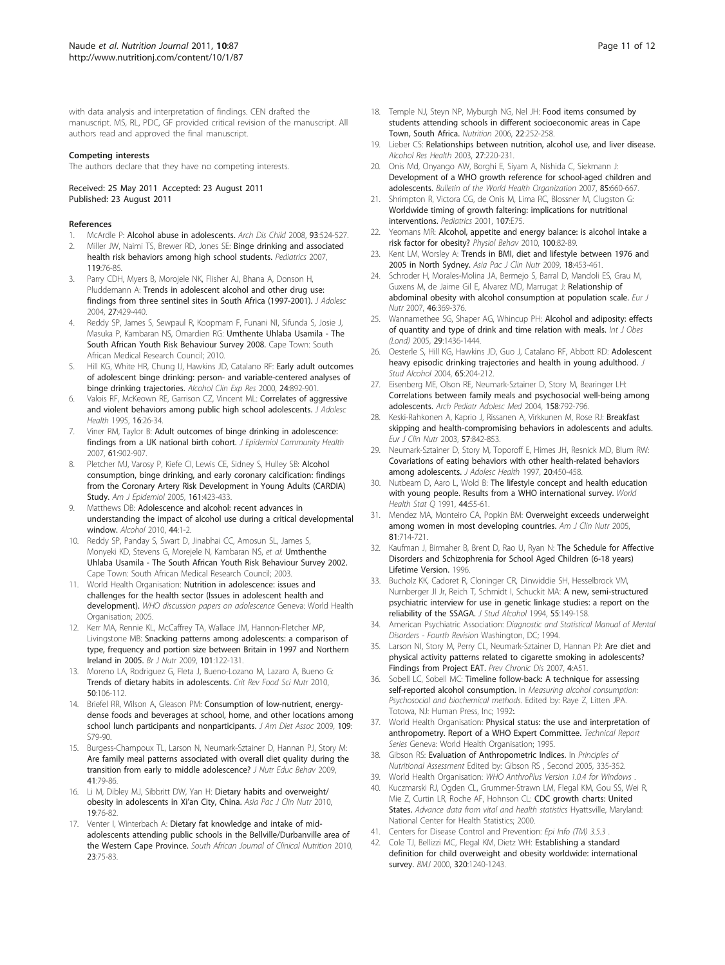<span id="page-10-0"></span>with data analysis and interpretation of findings. CEN drafted the manuscript. MS, RL, PDC, GF provided critical revision of the manuscript. All authors read and approved the final manuscript.

#### Competing interests

The authors declare that they have no competing interests.

Received: 25 May 2011 Accepted: 23 August 2011 Published: 23 August 2011

#### References

- 1. McArdle P: [Alcohol abuse in adolescents.](http://www.ncbi.nlm.nih.gov/pubmed/18305075?dopt=Abstract) Arch Dis Child 2008, 93:524-527.
- 2. Miller JW, Naimi TS, Brewer RD, Jones SE: [Binge drinking and associated](http://www.ncbi.nlm.nih.gov/pubmed/17200273?dopt=Abstract) [health risk behaviors among high school students.](http://www.ncbi.nlm.nih.gov/pubmed/17200273?dopt=Abstract) Pediatrics 2007, 119:76-85.
- Parry CDH, Myers B, Morojele NK, Flisher AJ, Bhana A, Donson H, Pluddemann A: [Trends in adolescent alcohol and other drug use:](http://www.ncbi.nlm.nih.gov/pubmed/15288752?dopt=Abstract) [findings from three sentinel sites in South Africa \(1997-2001\).](http://www.ncbi.nlm.nih.gov/pubmed/15288752?dopt=Abstract) J Adolesc 2004, 27:429-440.
- 4. Reddy SP, James S, Sewpaul R, Koopmam F, Funani NI, Sifunda S, Josie J, Masuka P, Kambaran NS, Omardien RG: Umthente Uhlaba Usamila - The South African Youth Risk Behaviour Survey 2008. Cape Town: South African Medical Research Council; 2010.
- 5. Hill KG, White HR, Chung IJ, Hawkins JD, Catalano RF: [Early adult outcomes](http://www.ncbi.nlm.nih.gov/pubmed/10888080?dopt=Abstract) [of adolescent binge drinking: person- and variable-centered analyses of](http://www.ncbi.nlm.nih.gov/pubmed/10888080?dopt=Abstract) [binge drinking trajectories.](http://www.ncbi.nlm.nih.gov/pubmed/10888080?dopt=Abstract) Alcohol Clin Exp Res 2000, 24:892-901.
- 6. Valois RF, McKeown RE, Garrison CZ, Vincent ML: [Correlates of aggressive](http://www.ncbi.nlm.nih.gov/pubmed/7742333?dopt=Abstract) [and violent behaviors among public high school adolescents.](http://www.ncbi.nlm.nih.gov/pubmed/7742333?dopt=Abstract) J Adolesc Health 1995, 16:26-34.
- 7. Viner RM, Taylor B: [Adult outcomes of binge drinking in adolescence:](http://www.ncbi.nlm.nih.gov/pubmed/17873228?dopt=Abstract) [findings from a UK national birth cohort.](http://www.ncbi.nlm.nih.gov/pubmed/17873228?dopt=Abstract) J Epidemiol Community Health 2007, 61:902-907.
- 8. Pletcher MJ, Varosy P, Kiefe CI, Lewis CE, Sidney S, Hulley SB: [Alcohol](http://www.ncbi.nlm.nih.gov/pubmed/15718478?dopt=Abstract) [consumption, binge drinking, and early coronary calcification: findings](http://www.ncbi.nlm.nih.gov/pubmed/15718478?dopt=Abstract) [from the Coronary Artery Risk Development in Young Adults \(CARDIA\)](http://www.ncbi.nlm.nih.gov/pubmed/15718478?dopt=Abstract) [Study.](http://www.ncbi.nlm.nih.gov/pubmed/15718478?dopt=Abstract) Am J Epidemiol 2005, 161:423-433.
- Matthews DB: [Adolescence and alcohol: recent advances in](http://www.ncbi.nlm.nih.gov/pubmed/20113869?dopt=Abstract) [understanding the impact of alcohol use during a critical developmental](http://www.ncbi.nlm.nih.gov/pubmed/20113869?dopt=Abstract) [window.](http://www.ncbi.nlm.nih.gov/pubmed/20113869?dopt=Abstract) Alcohol 2010, 44:1-2.
- 10. Reddy SP, Panday S, Swart D, Jinabhai CC, Amosun SL, James S, Monyeki KD, Stevens G, Morejele N, Kambaran NS, et al: Umthenthe Uhlaba Usamila - The South African Youth Risk Behaviour Survey 2002. Cape Town: South African Medical Research Council; 2003.
- 11. World Health Organisation: Nutrition in adolescence: issues and challenges for the health sector (Issues in adolescent health and development). WHO discussion papers on adolescence Geneva: World Health Organisation; 2005.
- 12. Kerr MA, Rennie KL, McCaffrey TA, Wallace JM, Hannon-Fletcher MP, Livingstone MB: [Snacking patterns among adolescents: a comparison of](http://www.ncbi.nlm.nih.gov/pubmed/18533071?dopt=Abstract) [type, frequency and portion size between Britain in 1997 and Northern](http://www.ncbi.nlm.nih.gov/pubmed/18533071?dopt=Abstract) [Ireland in 2005.](http://www.ncbi.nlm.nih.gov/pubmed/18533071?dopt=Abstract) Br J Nutr 2009, 101:122-131.
- 13. Moreno LA, Rodriguez G, Fleta J, Bueno-Lozano M, Lazaro A, Bueno G: [Trends of dietary habits in adolescents.](http://www.ncbi.nlm.nih.gov/pubmed/20112152?dopt=Abstract) Crit Rev Food Sci Nutr 2010, 50:106-112.
- 14. Briefel RR, Wilson A, Gleason PM: [Consumption of low-nutrient, energy](http://www.ncbi.nlm.nih.gov/pubmed/19166676?dopt=Abstract)[dense foods and beverages at school, home, and other locations among](http://www.ncbi.nlm.nih.gov/pubmed/19166676?dopt=Abstract) [school lunch participants and nonparticipants.](http://www.ncbi.nlm.nih.gov/pubmed/19166676?dopt=Abstract) J Am Diet Assoc 2009, 109: S79-90.
- 15. Burgess-Champoux TL, Larson N, Neumark-Sztainer D, Hannan PJ, Story M: [Are family meal patterns associated with overall diet quality during the](http://www.ncbi.nlm.nih.gov/pubmed/19304252?dopt=Abstract) transition [from early to middle adolescence?](http://www.ncbi.nlm.nih.gov/pubmed/19304252?dopt=Abstract) J Nutr Educ Behav 2009, 41:79-86.
- 16. Li M, Dibley MJ, Sibbritt DW, Yan H: [Dietary habits and overweight/](http://www.ncbi.nlm.nih.gov/pubmed/20199990?dopt=Abstract) [obesity in adolescents in Xi](http://www.ncbi.nlm.nih.gov/pubmed/20199990?dopt=Abstract)'an City, China. Asia Pac J Clin Nutr 2010, 19:76-82.
- 17. Venter I, Winterbach A: Dietary fat knowledge and intake of midadolescents attending public schools in the Bellville/Durbanville area of the Western Cape Province. South African Journal of Clinical Nutrition 2010, 23:75-83.
- 18. Temple NJ, Steyn NP, Myburgh NG, Nel JH: [Food items consumed by](http://www.ncbi.nlm.nih.gov/pubmed/16500552?dopt=Abstract) [students attending schools in different socioeconomic areas in Cape](http://www.ncbi.nlm.nih.gov/pubmed/16500552?dopt=Abstract) [Town, South Africa.](http://www.ncbi.nlm.nih.gov/pubmed/16500552?dopt=Abstract) Nutrition 2006, 22:252-258.
- 19. Lieber CS: [Relationships between nutrition, alcohol use, and liver disease.](http://www.ncbi.nlm.nih.gov/pubmed/15535450?dopt=Abstract) Alcohol Res Health 2003, 27:220-231.
- 20. Onis Md, Onyango AW, Borghi E, Siyam A, Nishida C, Siekmann J: [Development of a WHO growth reference for school-aged children and](http://www.ncbi.nlm.nih.gov/pubmed/18026621?dopt=Abstract) [adolescents.](http://www.ncbi.nlm.nih.gov/pubmed/18026621?dopt=Abstract) Bulletin of the World Health Organization 2007, 85:660-667.
- 21. Shrimpton R, Victora CG, de Onis M, Lima RC, Blossner M, Clugston G: [Worldwide timing of growth faltering: implications for nutritional](http://www.ncbi.nlm.nih.gov/pubmed/11331725?dopt=Abstract) [interventions.](http://www.ncbi.nlm.nih.gov/pubmed/11331725?dopt=Abstract) Pediatrics 2001, 107:E75.
- 22. Yeomans MR: [Alcohol, appetite and energy balance: is alcohol intake a](http://www.ncbi.nlm.nih.gov/pubmed/20096714?dopt=Abstract) [risk factor for obesity?](http://www.ncbi.nlm.nih.gov/pubmed/20096714?dopt=Abstract) Physiol Behav 2010, 100:82-89.
- 23. Kent LM, Worsley A: [Trends in BMI, diet and lifestyle between 1976 and](http://www.ncbi.nlm.nih.gov/pubmed/19786395?dopt=Abstract) [2005 in North Sydney.](http://www.ncbi.nlm.nih.gov/pubmed/19786395?dopt=Abstract) Asia Pac J Clin Nutr 2009, 18:453-461.
- 24. Schroder H, Morales-Molina JA, Bermejo S, Barral D, Mandoli ES, Grau M, Guxens M, de Jaime Gil E, Alvarez MD, Marrugat J: [Relationship of](http://www.ncbi.nlm.nih.gov/pubmed/17885722?dopt=Abstract) [abdominal obesity with alcohol consumption at population scale.](http://www.ncbi.nlm.nih.gov/pubmed/17885722?dopt=Abstract) Eur J Nutr 2007, 46:369-376.
- 25. Wannamethee SG, Shaper AG, Whincup PH: Alcohol and adiposity: effects of quantity and type of drink and time relation with meals. Int J Obes (Lond) 2005, 29:1436-1444.
- 26. Oesterle S, Hill KG, Hawkins JD, Guo J, Catalano RF, Abbott RD: [Adolescent](http://www.ncbi.nlm.nih.gov/pubmed/15151351?dopt=Abstract) [heavy episodic drinking trajectories and health in young adulthood.](http://www.ncbi.nlm.nih.gov/pubmed/15151351?dopt=Abstract) J Stud Alcohol 2004, 65:204-212.
- 27. Eisenberg ME, Olson RE, Neumark-Sztainer D, Story M, Bearinger LH: [Correlations between family meals and psychosocial well-being among](http://www.ncbi.nlm.nih.gov/pubmed/15289253?dopt=Abstract) [adolescents.](http://www.ncbi.nlm.nih.gov/pubmed/15289253?dopt=Abstract) Arch Pediatr Adolesc Med 2004, 158:792-796.
- 28. Keski-Rahkonen A, Kaprio J, Rissanen A, Virkkunen M, Rose RJ: [Breakfast](http://www.ncbi.nlm.nih.gov/pubmed/12821884?dopt=Abstract) [skipping and health-compromising behaviors in adolescents and adults.](http://www.ncbi.nlm.nih.gov/pubmed/12821884?dopt=Abstract) Eur J Clin Nutr 2003, 57:842-853.
- 29. Neumark-Sztainer D, Story M, Toporoff E, Himes JH, Resnick MD, Blum RW: [Covariations of eating behaviors with other health-related behaviors](http://www.ncbi.nlm.nih.gov/pubmed/9178082?dopt=Abstract) among [adolescents.](http://www.ncbi.nlm.nih.gov/pubmed/9178082?dopt=Abstract) J Adolesc Health 1997, 20:450-458.
- 30. Nutbeam D, Aaro L, Wold B: [The lifestyle concept and health education](http://www.ncbi.nlm.nih.gov/pubmed/1926893?dopt=Abstract) [with young people. Results from a WHO international survey.](http://www.ncbi.nlm.nih.gov/pubmed/1926893?dopt=Abstract) World Health Stat O 1991, 44:55-61.
- 31. Mendez MA, Monteiro CA, Popkin BM: [Overweight exceeds underweight](http://www.ncbi.nlm.nih.gov/pubmed/15755843?dopt=Abstract) [among women in most developing countries.](http://www.ncbi.nlm.nih.gov/pubmed/15755843?dopt=Abstract) Am J Clin Nutr 2005, 81:714-721.
- 32. Kaufman J, Birmaher B, Brent D, Rao U, Ryan N: The Schedule for Affective Disorders and Schizophrenia for School Aged Children (6-18 years) Lifetime Version. 1996.
- 33. Bucholz KK, Cadoret R, Cloninger CR, Dinwiddie SH, Hesselbrock VM, Nurnberger JI Jr, Reich T, Schmidt I, Schuckit MA: [A new, semi-structured](http://www.ncbi.nlm.nih.gov/pubmed/8189735?dopt=Abstract) [psychiatric interview for use in genetic linkage studies: a report on the](http://www.ncbi.nlm.nih.gov/pubmed/8189735?dopt=Abstract) [reliability of the SSAGA.](http://www.ncbi.nlm.nih.gov/pubmed/8189735?dopt=Abstract) J Stud Alcohol 1994, 55:149-158.
- 34. American Psychiatric Association: Diagnostic and Statistical Manual of Mental Disorders - Fourth Revision Washington, DC; 1994.
- 35. Larson NI, Story M, Perry CL, Neumark-Sztainer D, Hannan PJ: [Are diet and](http://www.ncbi.nlm.nih.gov/pubmed/17572955?dopt=Abstract) [physical activity patterns related to cigarette smoking in adolescents?](http://www.ncbi.nlm.nih.gov/pubmed/17572955?dopt=Abstract) [Findings from Project EAT.](http://www.ncbi.nlm.nih.gov/pubmed/17572955?dopt=Abstract) Prev Chronic Dis 2007, 4:A51.
- 36. Sobell LC, Sobell MC: Timeline follow-back: A technique for assessing self-reported alcohol consumption. In Measuring alcohol consumption: Psychosocial and biochemical methods. Edited by: Raye Z, Litten JPA. Totowa, NJ: Human Press, Inc; 1992:.
- 37. World Health Organisation: Physical status: the use and interpretation of anthropometry. Report of a WHO Expert Committee. Technical Report Series Geneva: World Health Organisation; 1995.
- 38. Gibson RS: Evaluation of Anthropometric Indices. In Principles of Nutritional Assessment Edited by: Gibson RS , Second 2005, 335-352.
- 39. World Health Organisation: WHO AnthroPlus Version 1.0.4 for Windows 40. Kuczmarski RJ, Ogden CL, Grummer-Strawn LM, Flegal KM, Gou SS, Wei R, Mie Z, Curtin LR, Roche AF, Hohnson CL: CDC growth charts: United States. Advance data from vital and health statistics Hyattsville, Maryland: National Center for Health Statistics; 2000.
- 41. Centers for Disease Control and Prevention: Epi Info (TM) 3.5.3
- Cole TJ, Bellizzi MC, Flegal KM, Dietz WH: [Establishing a standard](http://www.ncbi.nlm.nih.gov/pubmed/10797032?dopt=Abstract) [definition for child overweight and obesity worldwide: international](http://www.ncbi.nlm.nih.gov/pubmed/10797032?dopt=Abstract) [survey.](http://www.ncbi.nlm.nih.gov/pubmed/10797032?dopt=Abstract) BMJ 2000, 320:1240-1243.